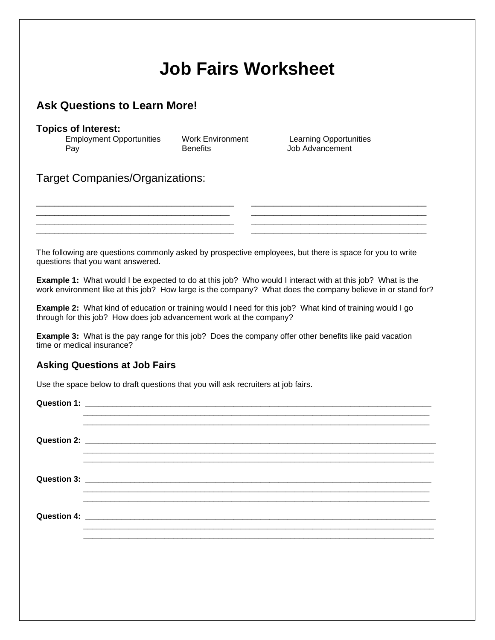## **Job Fairs Worksheet**

## **Ask Questions to Learn More!**

## **Topics of Interest:**

| <b>Employment Opportunities</b> | Work Environment | <b>Learning Opportul</b> |
|---------------------------------|------------------|--------------------------|
| Pay                             | <b>Benefits</b>  | Job Advancement          |

Work Environment Learning Opportunities

Target Companies/Organizations:

The following are questions commonly asked by prospective employees, but there is space for you to write questions that you want answered.

\_\_\_\_\_\_\_\_\_\_\_\_\_\_\_\_\_\_\_\_\_\_\_\_\_\_\_\_\_\_\_\_\_\_\_\_\_\_\_\_\_\_\_\_ \_\_\_\_\_\_\_\_\_\_\_\_\_\_\_\_\_\_\_\_\_\_\_\_\_\_\_\_\_\_\_\_\_\_\_\_\_\_\_

\_\_\_\_\_\_\_\_\_\_\_\_\_\_\_\_\_\_\_\_\_\_\_\_\_\_\_\_\_\_\_\_\_\_\_\_\_\_\_\_\_\_\_\_ \_\_\_\_\_\_\_\_\_\_\_\_\_\_\_\_\_\_\_\_\_\_\_\_\_\_\_\_\_\_\_\_\_\_\_\_\_\_\_ \_\_\_\_\_\_\_\_\_\_\_\_\_\_\_\_\_\_\_\_\_\_\_\_\_\_\_\_\_\_\_\_\_\_\_\_\_\_\_\_\_\_\_\_ \_\_\_\_\_\_\_\_\_\_\_\_\_\_\_\_\_\_\_\_\_\_\_\_\_\_\_\_\_\_\_\_\_\_\_\_\_\_\_

**Example 1:** What would I be expected to do at this job? Who would I interact with at this job? What is the work environment like at this job? How large is the company? What does the company believe in or stand for?

**Example 2:** What kind of education or training would I need for this job? What kind of training would I go through for this job? How does job advancement work at the company?

**Example 3:** What is the pay range for this job? Does the company offer other benefits like paid vacation time or medical insurance?

## **Asking Questions at Job Fairs**

Use the space below to draft questions that you will ask recruiters at job fairs.

**Question 1: \_\_\_\_\_\_\_\_\_\_\_\_\_\_\_\_\_\_\_\_\_\_\_\_\_\_\_\_\_\_\_\_\_\_\_\_\_\_\_\_\_\_\_\_\_\_\_\_\_\_\_\_\_\_\_\_\_\_\_\_\_\_\_\_\_\_\_\_\_\_\_\_\_\_\_\_\_ \_\_\_\_\_\_\_\_\_\_\_\_\_\_\_\_\_\_\_\_\_\_\_\_\_\_\_\_\_\_\_\_\_\_\_\_\_\_\_\_\_\_\_\_\_\_\_\_\_\_\_\_\_\_\_\_\_\_\_\_\_\_\_\_\_\_\_\_\_\_\_\_\_\_\_\_\_ Question 2: Question 2:** *Question 2:* **\_\_\_\_\_\_\_\_\_\_\_\_\_\_\_\_\_\_\_\_\_\_\_\_\_\_\_\_\_\_\_\_\_\_\_\_\_\_\_\_\_\_\_\_\_\_\_\_\_\_\_\_\_\_\_\_\_\_\_\_\_\_\_\_\_\_\_\_\_\_\_\_\_\_\_\_\_\_ Question 3: with a set of the set of the set of the set of the set of the set of the set of the set of the set of the set of the set of the set of the set of the set of the set of the set of the set of the set of the se \_\_\_\_\_\_\_\_\_\_\_\_\_\_\_\_\_\_\_\_\_\_\_\_\_\_\_\_\_\_\_\_\_\_\_\_\_\_\_\_\_\_\_\_\_\_\_\_\_\_\_\_\_\_\_\_\_\_\_\_\_\_\_\_\_\_\_\_\_\_\_\_\_\_\_\_\_ \_\_\_\_\_\_\_\_\_\_\_\_\_\_\_\_\_\_\_\_\_\_\_\_\_\_\_\_\_\_\_\_\_\_\_\_\_\_\_\_\_\_\_\_\_\_\_\_\_\_\_\_\_\_\_\_\_\_\_\_\_\_\_\_\_\_\_\_\_\_\_\_\_\_\_\_\_ Question 4: \_\_\_\_\_\_\_\_\_\_\_\_\_\_\_\_\_\_\_\_\_\_\_\_\_\_\_\_\_\_\_\_\_\_\_\_\_\_\_\_\_\_\_\_\_\_\_\_\_\_\_\_\_\_\_\_\_\_\_\_\_\_\_\_\_\_\_\_\_\_\_\_\_\_\_\_\_\_ \_\_\_\_\_\_\_\_\_\_\_\_\_\_\_\_\_\_\_\_\_\_\_\_\_\_\_\_\_\_\_\_\_\_\_\_\_\_\_\_\_\_\_\_\_\_\_\_\_\_\_\_\_\_\_\_\_\_\_\_\_\_\_\_\_\_\_\_\_\_\_\_\_\_\_\_\_\_ \_\_\_\_\_\_\_\_\_\_\_\_\_\_\_\_\_\_\_\_\_\_\_\_\_\_\_\_\_\_\_\_\_\_\_\_\_\_\_\_\_\_\_\_\_\_\_\_\_\_\_\_\_\_\_\_\_\_\_\_\_\_\_\_\_\_\_\_\_\_\_\_\_\_\_\_\_\_**